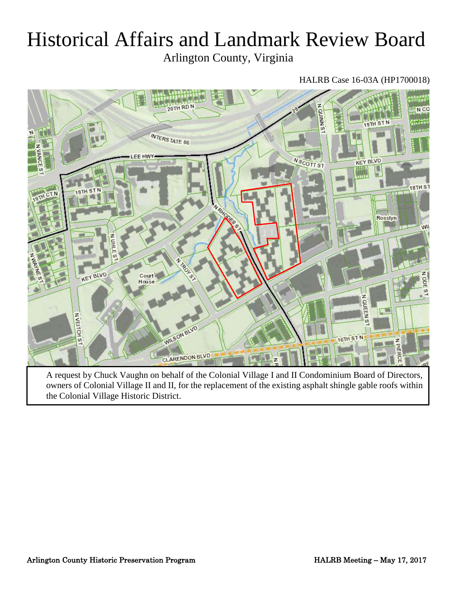# Historical Affairs and Landmark Review Board

Arlington County, Virginia

# HALRB Case 16-03A (HP1700018)



A request by Chuck Vaughn on behalf of the Colonial Village I and II Condominium Board of Directors, owners of Colonial Village II and II, for the replacement of the existing asphalt shingle gable roofs within the Colonial Village Historic District.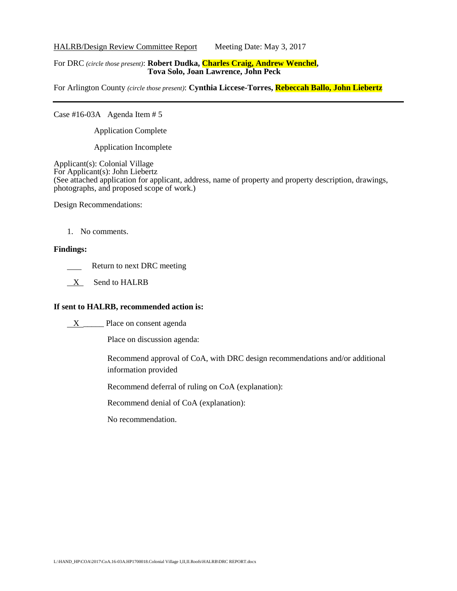HALRB/Design Review Committee Report Meeting Date: May 3, 2017

## For DRC *(circle those present)*: **Robert Dudka, Charles Craig, Andrew Wenchel, Tova Solo, Joan Lawrence, John Peck**

For Arlington County *(circle those present)*: **Cynthia Liccese-Torres, Rebeccah Ballo, John Liebertz**

Case #16-03A Agenda Item # 5

Application Complete

Application Incomplete

Applicant(s): Colonial Village For Applicant(s): John Liebertz (See attached application for applicant, address, name of property and property description, drawings, photographs, and proposed scope of work.)

Design Recommendations:

1. No comments.

#### **Findings:**

Return to next DRC meeting

 $X$  Send to HALRB

## **If sent to HALRB, recommended action is:**

X \_\_\_\_\_ Place on consent agenda

Place on discussion agenda:

Recommend approval of CoA, with DRC design recommendations and/or additional information provided

Recommend deferral of ruling on CoA (explanation):

Recommend denial of CoA (explanation):

No recommendation.